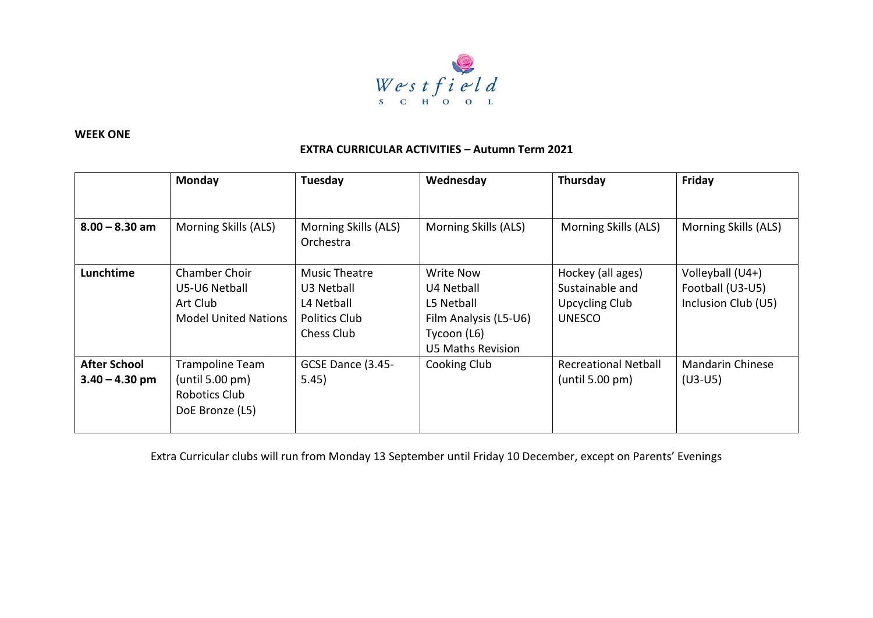

## **WEEK ONE**

## **EXTRA CURRICULAR ACTIVITIES – Autumn Term 2021**

|                                         | <b>Monday</b>                                                                    | Tuesday                                                                         | Wednesday                                                                                          | Thursday                                                                       | Friday                                                      |
|-----------------------------------------|----------------------------------------------------------------------------------|---------------------------------------------------------------------------------|----------------------------------------------------------------------------------------------------|--------------------------------------------------------------------------------|-------------------------------------------------------------|
|                                         |                                                                                  |                                                                                 |                                                                                                    |                                                                                |                                                             |
| $8.00 - 8.30$ am                        | Morning Skills (ALS)                                                             | Morning Skills (ALS)<br>Orchestra                                               | Morning Skills (ALS)                                                                               | Morning Skills (ALS)                                                           | Morning Skills (ALS)                                        |
| Lunchtime                               | <b>Chamber Choir</b><br>U5-U6 Netball<br>Art Club<br><b>Model United Nations</b> | Music Theatre<br>U3 Netball<br>L4 Netball<br><b>Politics Club</b><br>Chess Club | Write Now<br>U4 Netball<br>L5 Netball<br>Film Analysis (L5-U6)<br>Tycoon (L6)<br>U5 Maths Revision | Hockey (all ages)<br>Sustainable and<br><b>Upcycling Club</b><br><b>UNESCO</b> | Volleyball (U4+)<br>Football (U3-U5)<br>Inclusion Club (U5) |
| <b>After School</b><br>$3.40 - 4.30$ pm | <b>Trampoline Team</b><br>(until 5.00 pm)<br>Robotics Club<br>DoE Bronze (L5)    | GCSE Dance (3.45-<br>5.45)                                                      | Cooking Club                                                                                       | <b>Recreational Netball</b><br>(until 5.00 pm)                                 | <b>Mandarin Chinese</b><br>$(U3-U5)$                        |

Extra Curricular clubs will run from Monday 13 September until Friday 10 December, except on Parents' Evenings